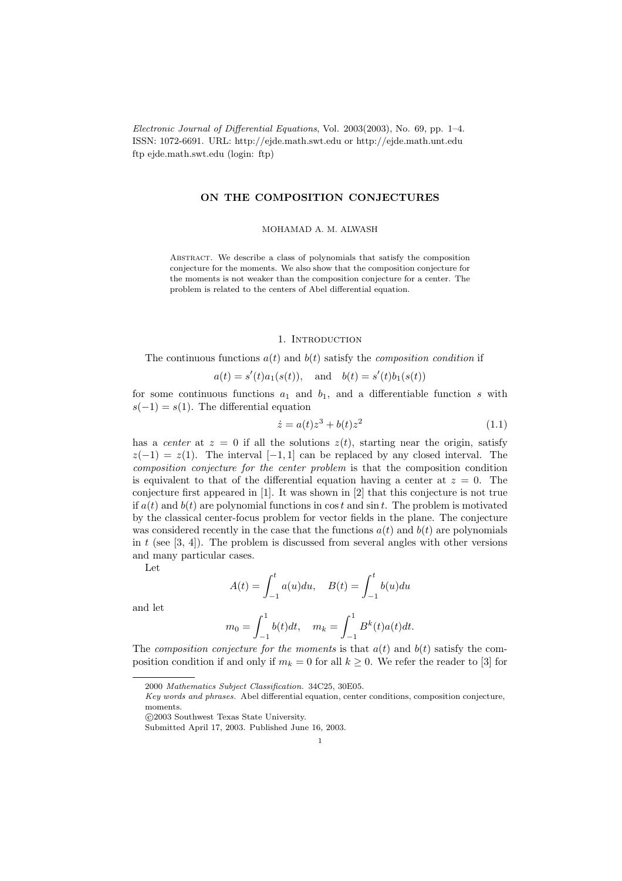Electronic Journal of Differential Equations, Vol. 2003(2003), No. 69, pp. 1–4. ISSN: 1072-6691. URL: http://ejde.math.swt.edu or http://ejde.math.unt.edu ftp ejde.math.swt.edu (login: ftp)

### ON THE COMPOSITION CONJECTURES

MOHAMAD A. M. ALWASH

Abstract. We describe a class of polynomials that satisfy the composition conjecture for the moments. We also show that the composition conjecture for the moments is not weaker than the composition conjecture for a center. The problem is related to the centers of Abel differential equation.

### 1. INTRODUCTION

The continuous functions  $a(t)$  and  $b(t)$  satisfy the *composition condition* if

$$
a(t) = s'(t)a_1(s(t)),
$$
 and  $b(t) = s'(t)b_1(s(t))$ 

for some continuous functions  $a_1$  and  $b_1$ , and a differentiable function s with  $s(-1) = s(1)$ . The differential equation

$$
\dot{z} = a(t)z^3 + b(t)z^2 \tag{1.1}
$$

has a center at  $z = 0$  if all the solutions  $z(t)$ , starting near the origin, satisfy  $z(-1) = z(1)$ . The interval [-1, 1] can be replaced by any closed interval. The composition conjecture for the center problem is that the composition condition is equivalent to that of the differential equation having a center at  $z = 0$ . The conjecture first appeared in [1]. It was shown in [2] that this conjecture is not true if  $a(t)$  and  $b(t)$  are polynomial functions in cost and sin t. The problem is motivated by the classical center-focus problem for vector fields in the plane. The conjecture was considered recently in the case that the functions  $a(t)$  and  $b(t)$  are polynomials in t (see  $[3, 4]$ ). The problem is discussed from several angles with other versions and many particular cases.

Let

$$
A(t) = \int_{-1}^{t} a(u) du, \quad B(t) = \int_{-1}^{t} b(u) du
$$

and let

$$
m_0 = \int_{-1}^1 b(t)dt, \quad m_k = \int_{-1}^1 B^k(t)a(t)dt.
$$

The composition conjecture for the moments is that  $a(t)$  and  $b(t)$  satisfy the composition condition if and only if  $m_k = 0$  for all  $k \geq 0$ . We refer the reader to [3] for

c 2003 Southwest Texas State University.

<sup>2000</sup> Mathematics Subject Classification. 34C25, 30E05.

Key words and phrases. Abel differential equation, center conditions, composition conjecture, moments.

Submitted April 17, 2003. Published June 16, 2003.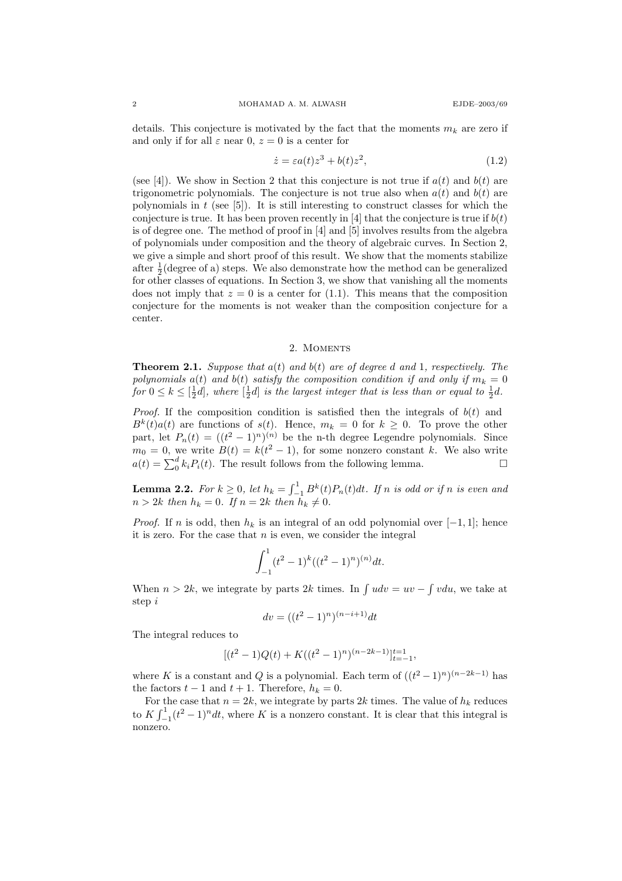details. This conjecture is motivated by the fact that the moments  $m_k$  are zero if and only if for all  $\varepsilon$  near 0,  $z = 0$  is a center for

$$
\dot{z} = \varepsilon a(t)z^3 + b(t)z^2,\tag{1.2}
$$

(see [4]). We show in Section 2 that this conjecture is not true if  $a(t)$  and  $b(t)$  are trigonometric polynomials. The conjecture is not true also when  $a(t)$  and  $b(t)$  are polynomials in  $t$  (see [5]). It is still interesting to construct classes for which the conjecture is true. It has been proven recently in [4] that the conjecture is true if  $b(t)$ is of degree one. The method of proof in [4] and [5] involves results from the algebra of polynomials under composition and the theory of algebraic curves. In Section 2, we give a simple and short proof of this result. We show that the moments stabilize after  $\frac{1}{2}$ (degree of a) steps. We also demonstrate how the method can be generalized for other classes of equations. In Section 3, we show that vanishing all the moments does not imply that  $z = 0$  is a center for (1.1). This means that the composition conjecture for the moments is not weaker than the composition conjecture for a center.

# 2. MOMENTS

**Theorem 2.1.** Suppose that  $a(t)$  and  $b(t)$  are of degree d and 1, respectively. The polynomials  $a(t)$  and  $b(t)$  satisfy the composition condition if and only if  $m_k = 0$ for  $0 \leq k \leq \left[\frac{1}{2}d\right]$ , where  $\left[\frac{1}{2}d\right]$  is the largest integer that is less than or equal to  $\frac{1}{2}d$ .

*Proof.* If the composition condition is satisfied then the integrals of  $b(t)$  and  $B^{k}(t)a(t)$  are functions of  $s(t)$ . Hence,  $m_k = 0$  for  $k \geq 0$ . To prove the other part, let  $P_n(t) = ((t^2 - 1)^n)^{(n)}$  be the n-th degree Legendre polynomials. Since  $m_0 = 0$ , we write  $B(t) = k(t^2 - 1)$ , for some nonzero constant k. We also write  $a(t) = \sum_0^d k_i P_i(t)$ . The result follows from the following lemma.

**Lemma 2.2.** For  $k \geq 0$ , let  $h_k = \int_{-1}^{1} B^k(t) P_n(t) dt$ . If n is odd or if n is even and  $n > 2k$  then  $h_k = 0$ . If  $n = 2k$  then  $h_k \neq 0$ .

*Proof.* If n is odd, then  $h_k$  is an integral of an odd polynomial over  $[-1, 1]$ ; hence it is zero. For the case that  $n$  is even, we consider the integral

$$
\int_{-1}^{1} (t^2 - 1)^k ((t^2 - 1)^n)^{(n)} dt.
$$

When  $n > 2k$ , we integrate by parts 2k times. In  $\int u dv = uv - \int v du$ , we take at step i

$$
dv = ((t^2 - 1)^n)^{(n-i+1)}dt
$$

The integral reduces to

$$
[(t^{2}-1)Q(t) + K((t^{2}-1)^{n})^{(n-2k-1)}]_{t=-1}^{t=1},
$$

where K is a constant and Q is a polynomial. Each term of  $((t^2 - 1)^n)^{(n-2k-1)}$  has the factors  $t - 1$  and  $t + 1$ . Therefore,  $h_k = 0$ .

For the case that  $n = 2k$ , we integrate by parts 2k times. The value of  $h_k$  reduces to  $K \int_{-1}^{1} (t^2 - 1)^n dt$ , where K is a nonzero constant. It is clear that this integral is nonzero.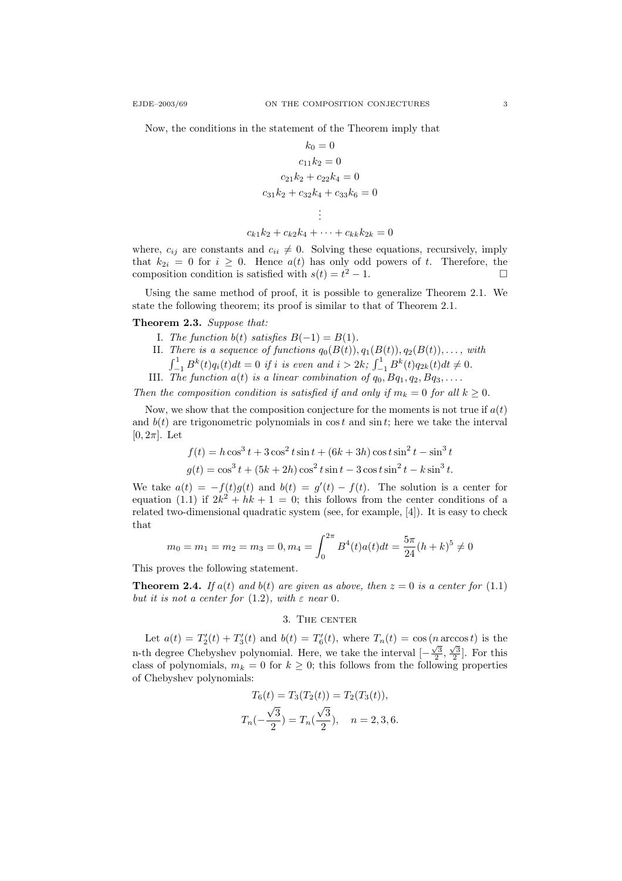Now, the conditions in the statement of the Theorem imply that

$$
k_0 = 0
$$
  
\n
$$
c_{11}k_2 = 0
$$
  
\n
$$
c_{21}k_2 + c_{22}k_4 = 0
$$
  
\n
$$
c_{31}k_2 + c_{32}k_4 + c_{33}k_6 = 0
$$
  
\n
$$
\vdots
$$
  
\n
$$
c_{k1}k_2 + c_{k2}k_4 + \dots + c_{kk}k_{2k} = 0
$$

where,  $c_{ii}$  are constants and  $c_{ii} \neq 0$ . Solving these equations, recursively, imply that  $k_{2i} = 0$  for  $i \geq 0$ . Hence  $a(t)$  has only odd powers of t. Therefore, the composition condition is satisfied with  $s(t) = t^2 - 1$ .

Using the same method of proof, it is possible to generalize Theorem 2.1. We state the following theorem; its proof is similar to that of Theorem 2.1.

### Theorem 2.3. Suppose that:

- I. The function  $b(t)$  satisfies  $B(-1) = B(1)$ .
- II. There is a sequence of functions  $q_0(B(t)), q_1(B(t)), q_2(B(t)), \ldots$ , with  $\int_{-1}^{1} B^{k}(t)q_{i}(t)dt = 0$  if i is even and  $i > 2k$ ;  $\int_{-1}^{1} B^{k}(t)q_{2k}(t)dt \neq 0$ .
- III. The function  $a(t)$  is a linear combination of  $q_0$ ,  $Bq_1$ ,  $q_2$ ,  $Bq_3$ ,...

Then the composition condition is satisfied if and only if  $m_k = 0$  for all  $k \geq 0$ .

Now, we show that the composition conjecture for the moments is not true if  $a(t)$ and  $b(t)$  are trigonometric polynomials in cost and sin t; here we take the interval  $[0, 2\pi]$ . Let

$$
f(t) = h \cos^{3} t + 3 \cos^{2} t \sin t + (6k + 3h) \cos t \sin^{2} t - \sin^{3} t
$$
  

$$
g(t) = \cos^{3} t + (5k + 2h) \cos^{2} t \sin t - 3 \cos t \sin^{2} t - k \sin^{3} t.
$$

We take  $a(t) = -f(t)g(t)$  and  $b(t) = g'(t) - f(t)$ . The solution is a center for equation (1.1) if  $2k^2 + hk + 1 = 0$ ; this follows from the center conditions of a related two-dimensional quadratic system (see, for example, [4]). It is easy to check that

$$
m_0 = m_1 = m_2 = m_3 = 0, m_4 = \int_0^{2\pi} B^4(t) a(t) dt = \frac{5\pi}{24} (h+k)^5 \neq 0
$$

This proves the following statement.

**Theorem 2.4.** If a(t) and b(t) are given as above, then  $z = 0$  is a center for (1.1) but it is not a center for  $(1.2)$ , with  $\varepsilon$  near 0.

# 3. The center

Let  $a(t) = T'_2(t) + T'_3(t)$  and  $b(t) = T'_6(t)$ , where  $T_n(t) = \cos(n \arccos t)$  is the n-th degree Chebyshev polynomial. Here, we take the interval  $\left[-\frac{\sqrt{3}}{2}, \frac{\sqrt{3}}{2}\right]$ . For this class of polynomials,  $m_k = 0$  for  $k \geq 0$ ; this follows from the following properties of Chebyshev polynomials:

$$
T_6(t) = T_3(T_2(t)) = T_2(T_3(t)),
$$
  
\n
$$
T_n(-\frac{\sqrt{3}}{2}) = T_n(\frac{\sqrt{3}}{2}), \quad n = 2, 3, 6.
$$